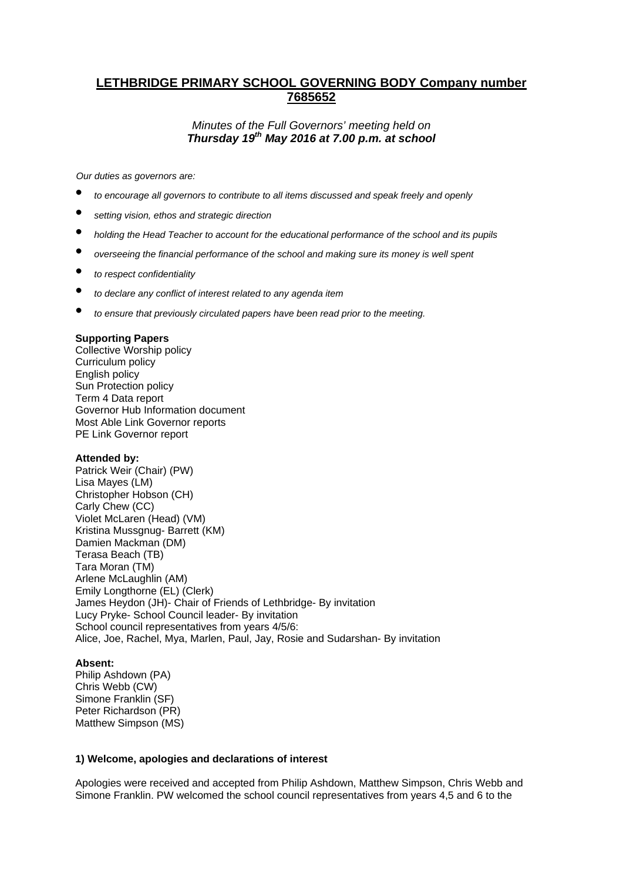# **LETHBRIDGE PRIMARY SCHOOL GOVERNING BODY Company number 7685652**

# *Minutes of the Full Governors' meeting held on Thursday 19th May 2016 at 7.00 p.m. at school*

*Our duties as governors are:* 

- *to encourage all governors to contribute to all items discussed and speak freely and openly*
- *setting vision, ethos and strategic direction*
- *holding the Head Teacher to account for the educational performance of the school and its pupils*
- *overseeing the financial performance of the school and making sure its money is well spent*
- *to respect confidentiality*
- *to declare any conflict of interest related to any agenda item*
- *to ensure that previously circulated papers have been read prior to the meeting.*

#### **Supporting Papers**

Collective Worship policy Curriculum policy English policy Sun Protection policy Term 4 Data report Governor Hub Information document Most Able Link Governor reports PE Link Governor report

#### **Attended by:**

Patrick Weir (Chair) (PW) Lisa Mayes (LM) Christopher Hobson (CH) Carly Chew (CC) Violet McLaren (Head) (VM) Kristina Mussgnug- Barrett (KM) Damien Mackman (DM) Terasa Beach (TB) Tara Moran (TM) Arlene McLaughlin (AM) Emily Longthorne (EL) (Clerk) James Heydon (JH)- Chair of Friends of Lethbridge- By invitation Lucy Pryke- School Council leader- By invitation School council representatives from years 4/5/6: Alice, Joe, Rachel, Mya, Marlen, Paul, Jay, Rosie and Sudarshan- By invitation

#### **Absent:**

Philip Ashdown (PA) Chris Webb (CW) Simone Franklin (SF) Peter Richardson (PR) Matthew Simpson (MS)

#### **1) Welcome, apologies and declarations of interest**

Apologies were received and accepted from Philip Ashdown, Matthew Simpson, Chris Webb and Simone Franklin. PW welcomed the school council representatives from years 4,5 and 6 to the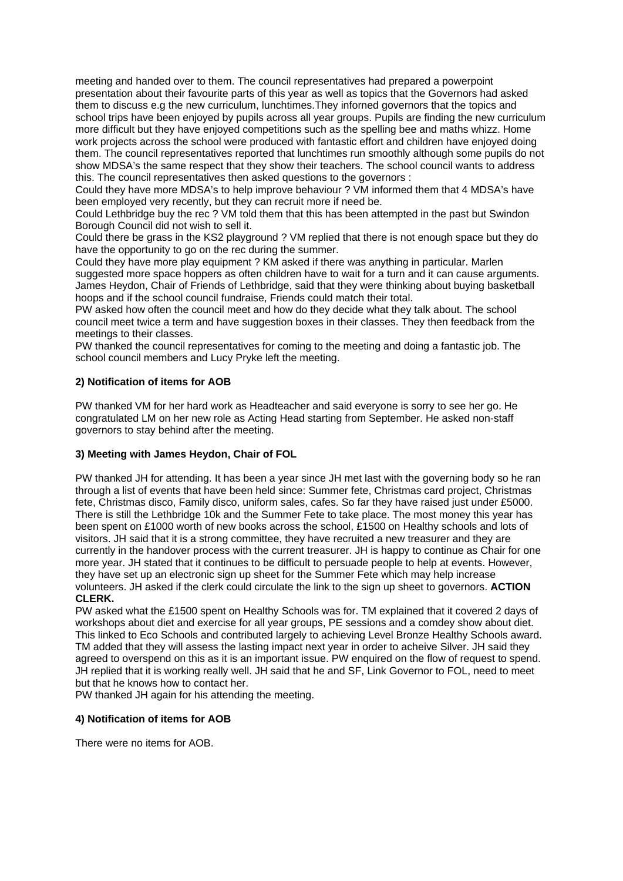meeting and handed over to them. The council representatives had prepared a powerpoint presentation about their favourite parts of this year as well as topics that the Governors had asked them to discuss e.g the new curriculum, lunchtimes.They inforned governors that the topics and school trips have been enjoyed by pupils across all year groups. Pupils are finding the new curriculum more difficult but they have enjoyed competitions such as the spelling bee and maths whizz. Home work projects across the school were produced with fantastic effort and children have enjoyed doing them. The council representatives reported that lunchtimes run smoothly although some pupils do not show MDSA's the same respect that they show their teachers. The school council wants to address this. The council representatives then asked questions to the governors :

Could they have more MDSA's to help improve behaviour ? VM informed them that 4 MDSA's have been employed very recently, but they can recruit more if need be.

Could Lethbridge buy the rec ? VM told them that this has been attempted in the past but Swindon Borough Council did not wish to sell it.

Could there be grass in the KS2 playground ? VM replied that there is not enough space but they do have the opportunity to go on the rec during the summer.

Could they have more play equipment ? KM asked if there was anything in particular. Marlen suggested more space hoppers as often children have to wait for a turn and it can cause arguments. James Heydon, Chair of Friends of Lethbridge, said that they were thinking about buying basketball hoops and if the school council fundraise, Friends could match their total.

PW asked how often the council meet and how do they decide what they talk about. The school council meet twice a term and have suggestion boxes in their classes. They then feedback from the meetings to their classes.

PW thanked the council representatives for coming to the meeting and doing a fantastic job. The school council members and Lucy Pryke left the meeting.

#### **2) Notification of items for AOB**

PW thanked VM for her hard work as Headteacher and said everyone is sorry to see her go. He congratulated LM on her new role as Acting Head starting from September. He asked non-staff governors to stay behind after the meeting.

# **3) Meeting with James Heydon, Chair of FOL**

PW thanked JH for attending. It has been a year since JH met last with the governing body so he ran through a list of events that have been held since: Summer fete, Christmas card project, Christmas fete, Christmas disco, Family disco, uniform sales, cafes. So far they have raised just under £5000. There is still the Lethbridge 10k and the Summer Fete to take place. The most money this year has been spent on £1000 worth of new books across the school, £1500 on Healthy schools and lots of visitors. JH said that it is a strong committee, they have recruited a new treasurer and they are currently in the handover process with the current treasurer. JH is happy to continue as Chair for one more year. JH stated that it continues to be difficult to persuade people to help at events. However, they have set up an electronic sign up sheet for the Summer Fete which may help increase volunteers. JH asked if the clerk could circulate the link to the sign up sheet to governors. **ACTION CLERK.**

PW asked what the £1500 spent on Healthy Schools was for. TM explained that it covered 2 days of workshops about diet and exercise for all year groups, PE sessions and a comdey show about diet. This linked to Eco Schools and contributed largely to achieving Level Bronze Healthy Schools award. TM added that they will assess the lasting impact next year in order to acheive Silver. JH said they agreed to overspend on this as it is an important issue. PW enquired on the flow of request to spend. JH replied that it is working really well. JH said that he and SF, Link Governor to FOL, need to meet but that he knows how to contact her.

PW thanked JH again for his attending the meeting.

# **4) Notification of items for AOB**

There were no items for AOB.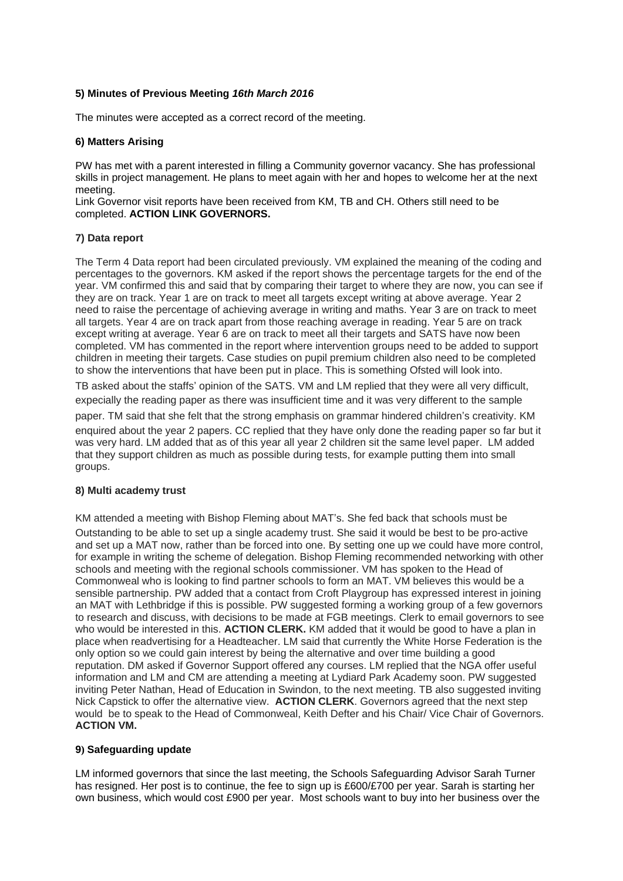# **5) Minutes of Previous Meeting** *16th March 2016*

The minutes were accepted as a correct record of the meeting.

# **6) Matters Arising**

PW has met with a parent interested in filling a Community governor vacancy. She has professional skills in project management. He plans to meet again with her and hopes to welcome her at the next meeting.

Link Governor visit reports have been received from KM, TB and CH. Others still need to be completed. **ACTION LINK GOVERNORS.** 

#### **7) Data report**

The Term 4 Data report had been circulated previously. VM explained the meaning of the coding and percentages to the governors. KM asked if the report shows the percentage targets for the end of the year. VM confirmed this and said that by comparing their target to where they are now, you can see if they are on track. Year 1 are on track to meet all targets except writing at above average. Year 2 need to raise the percentage of achieving average in writing and maths. Year 3 are on track to meet all targets. Year 4 are on track apart from those reaching average in reading. Year 5 are on track except writing at average. Year 6 are on track to meet all their targets and SATS have now been completed. VM has commented in the report where intervention groups need to be added to support children in meeting their targets. Case studies on pupil premium children also need to be completed to show the interventions that have been put in place. This is something Ofsted will look into.

TB asked about the staffs' opinion of the SATS. VM and LM replied that they were all very difficult, expecially the reading paper as there was insufficient time and it was very different to the sample

paper. TM said that she felt that the strong emphasis on grammar hindered children's creativity. KM

enquired about the year 2 papers. CC replied that they have only done the reading paper so far but it was very hard. LM added that as of this year all year 2 children sit the same level paper. LM added that they support children as much as possible during tests, for example putting them into small groups.

# **8) Multi academy trust**

KM attended a meeting with Bishop Fleming about MAT's. She fed back that schools must be Outstanding to be able to set up a single academy trust. She said it would be best to be pro-active and set up a MAT now, rather than be forced into one. By setting one up we could have more control, for example in writing the scheme of delegation. Bishop Fleming recommended networking with other schools and meeting with the regional schools commissioner. VM has spoken to the Head of Commonweal who is looking to find partner schools to form an MAT. VM believes this would be a sensible partnership. PW added that a contact from Croft Playgroup has expressed interest in joining an MAT with Lethbridge if this is possible. PW suggested forming a working group of a few governors to research and discuss, with decisions to be made at FGB meetings. Clerk to email governors to see who would be interested in this. **ACTION CLERK.** KM added that it would be good to have a plan in place when readvertising for a Headteacher. LM said that currently the White Horse Federation is the only option so we could gain interest by being the alternative and over time building a good reputation. DM asked if Governor Support offered any courses. LM replied that the NGA offer useful information and LM and CM are attending a meeting at Lydiard Park Academy soon. PW suggested inviting Peter Nathan, Head of Education in Swindon, to the next meeting. TB also suggested inviting Nick Capstick to offer the alternative view. **ACTION CLERK**. Governors agreed that the next step would be to speak to the Head of Commonweal, Keith Defter and his Chair/ Vice Chair of Governors. **ACTION VM.** 

# **9) Safeguarding update**

LM informed governors that since the last meeting, the Schools Safeguarding Advisor Sarah Turner has resigned. Her post is to continue, the fee to sign up is £600/£700 per year. Sarah is starting her own business, which would cost £900 per year. Most schools want to buy into her business over the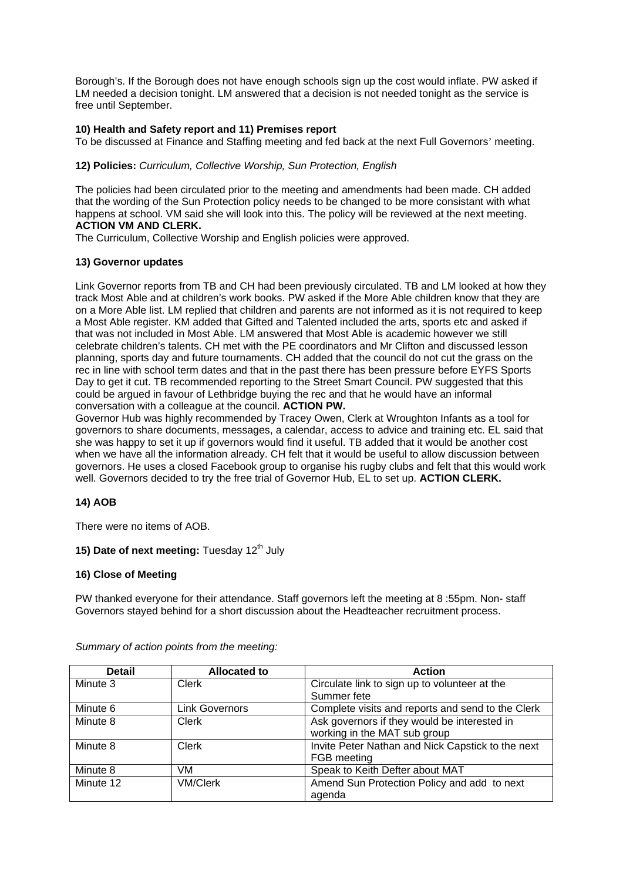Borough's. If the Borough does not have enough schools sign up the cost would inflate. PW asked if LM needed a decision tonight. LM answered that a decision is not needed tonight as the service is free until September.

# **10) Health and Safety report and 11) Premises report**

To be discussed at Finance and Staffing meeting and fed back at the next Full Governors' meeting.

# **12) Policies:** *Curriculum, Collective Worship, Sun Protection, English*

The policies had been circulated prior to the meeting and amendments had been made. CH added that the wording of the Sun Protection policy needs to be changed to be more consistant with what happens at school. VM said she will look into this. The policy will be reviewed at the next meeting. **ACTION VM AND CLERK.**

The Curriculum, Collective Worship and English policies were approved.

#### **13) Governor updates**

Link Governor reports from TB and CH had been previously circulated. TB and LM looked at how they track Most Able and at children's work books. PW asked if the More Able children know that they are on a More Able list. LM replied that children and parents are not informed as it is not required to keep a Most Able register. KM added that Gifted and Talented included the arts, sports etc and asked if that was not included in Most Able. LM answered that Most Able is academic however we still celebrate children's talents. CH met with the PE coordinators and Mr Clifton and discussed lesson planning, sports day and future tournaments. CH added that the council do not cut the grass on the rec in line with school term dates and that in the past there has been pressure before EYFS Sports Day to get it cut. TB recommended reporting to the Street Smart Council. PW suggested that this could be argued in favour of Lethbridge buying the rec and that he would have an informal conversation with a colleague at the council. **ACTION PW.** 

Governor Hub was highly recommended by Tracey Owen, Clerk at Wroughton Infants as a tool for governors to share documents, messages, a calendar, access to advice and training etc. EL said that she was happy to set it up if governors would find it useful. TB added that it would be another cost when we have all the information already. CH felt that it would be useful to allow discussion between governors. He uses a closed Facebook group to organise his rugby clubs and felt that this would work well. Governors decided to try the free trial of Governor Hub, EL to set up. **ACTION CLERK.** 

# **14) AOB**

There were no items of AOB.

# **15) Date of next meeting: Tuesday 12<sup>th</sup> July**

#### **16) Close of Meeting**

PW thanked everyone for their attendance. Staff governors left the meeting at 8 :55pm. Non- staff Governors stayed behind for a short discussion about the Headteacher recruitment process.

| <b>Detail</b> | <b>Allocated to</b> | <b>Action</b>                                     |
|---------------|---------------------|---------------------------------------------------|
| Minute 3      | Clerk               | Circulate link to sign up to volunteer at the     |
|               |                     | Summer fete                                       |
| Minute 6      | Link Governors      | Complete visits and reports and send to the Clerk |
| Minute 8      | Clerk               | Ask governors if they would be interested in      |
|               |                     | working in the MAT sub group                      |
| Minute 8      | Clerk               | Invite Peter Nathan and Nick Capstick to the next |
|               |                     | FGB meeting                                       |
| Minute 8      | VM.                 | Speak to Keith Defter about MAT                   |
| Minute 12     | <b>VM/Clerk</b>     | Amend Sun Protection Policy and add to next       |
|               |                     | agenda                                            |

*Summary of action points from the meeting:*